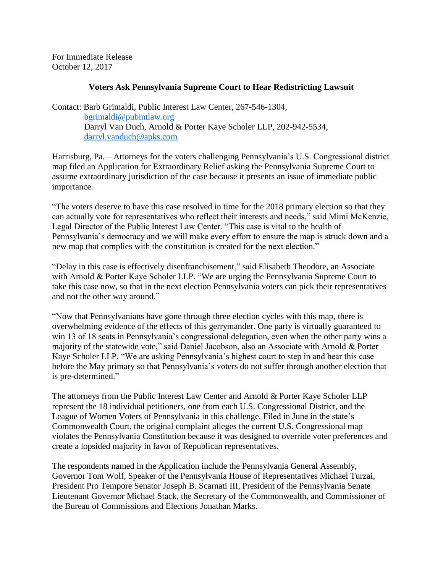For Immediate Release October 12, 2017

## **Voters Ask Pennsylvania Supreme Court to Hear Redistricting Lawsuit**

Contact: Barb Grimaldi, Public Interest Law Center, 267-546-1304, [bgrimaldi@pubintlaw.org](mailto:bgrimaldi@pubintlaw.org) Darryl Van Duch, Arnold & Porter Kaye Scholer LLP, 202-942-5534, [darryl.vanduch@apks.com](mailto:darryl.vanduch@apks.com)

Harrisburg, Pa. – Attorneys for the voters challenging Pennsylvania's U.S. Congressional district map filed an Application for Extraordinary Relief asking the Pennsylvania Supreme Court to assume extraordinary jurisdiction of the case because it presents an issue of immediate public importance.

"The voters deserve to have this case resolved in time for the 2018 primary election so that they can actually vote for representatives who reflect their interests and needs," said Mimi McKenzie, Legal Director of the Public Interest Law Center. "This case is vital to the health of Pennsylvania's democracy and we will make every effort to ensure the map is struck down and a new map that complies with the constitution is created for the next election."

"Delay in this case is effectively disenfranchisement," said Elisabeth Theodore, an Associate with Arnold & Porter Kaye Scholer LLP. "We are urging the Pennsylvania Supreme Court to take this case now, so that in the next election Pennsylvania voters can pick their representatives and not the other way around."

"Now that Pennsylvanians have gone through three election cycles with this map, there is overwhelming evidence of the effects of this gerrymander. One party is virtually guaranteed to win 13 of 18 seats in Pennsylvania's congressional delegation, even when the other party wins a majority of the statewide vote," said Daniel Jacobson, also an Associate with Arnold & Porter Kaye Scholer LLP. "We are asking Pennsylvania's highest court to step in and hear this case before the May primary so that Pennsylvania's voters do not suffer through another election that is pre-determined."

The attorneys from the Public Interest Law Center and Arnold & Porter Kaye Scholer LLP represent the 18 individual petitioners, one from each U.S. Congressional District, and the League of Women Voters of Pennsylvania in this challenge. Filed in June in the state's Commonwealth Court, the original complaint alleges the current U.S. Congressional map violates the Pennsylvania Constitution because it was designed to override voter preferences and create a lopsided majority in favor of Republican representatives.

The respondents named in the Application include the Pennsylvania General Assembly, Governor Tom Wolf, Speaker of the Pennsylvania House of Representatives Michael Turzai, President Pro Tempore Senator Joseph B. Scarnati III, President of the Pennsylvania Senate Lieutenant Governor Michael Stack, the Secretary of the Commonwealth, and Commissioner of the Bureau of Commissions and Elections Jonathan Marks.